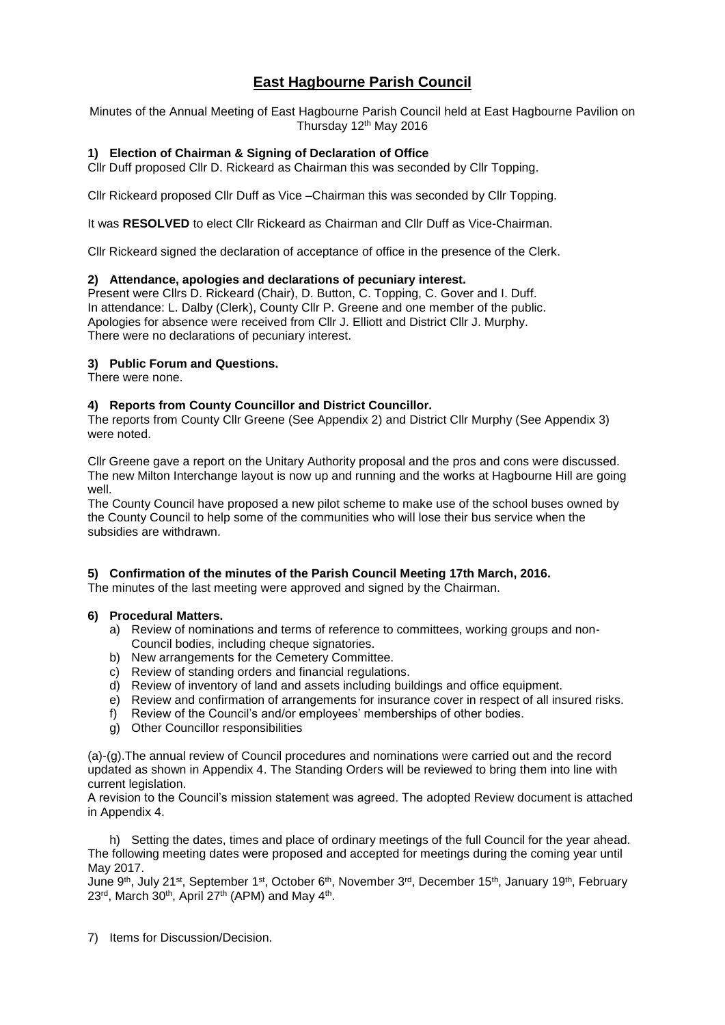# **East Hagbourne Parish Council**

Minutes of the Annual Meeting of East Hagbourne Parish Council held at East Hagbourne Pavilion on Thursday 12<sup>th</sup> May 2016

#### **1) Election of Chairman & Signing of Declaration of Office**

Cllr Duff proposed Cllr D. Rickeard as Chairman this was seconded by Cllr Topping.

Cllr Rickeard proposed Cllr Duff as Vice –Chairman this was seconded by Cllr Topping.

It was **RESOLVED** to elect Cllr Rickeard as Chairman and Cllr Duff as Vice-Chairman.

Cllr Rickeard signed the declaration of acceptance of office in the presence of the Clerk.

#### **2) Attendance, apologies and declarations of pecuniary interest.**

Present were Cllrs D. Rickeard (Chair), D. Button, C. Topping, C. Gover and I. Duff. In attendance: L. Dalby (Clerk), County Cllr P. Greene and one member of the public. Apologies for absence were received from Cllr J. Elliott and District Cllr J. Murphy. There were no declarations of pecuniary interest.

#### **3) Public Forum and Questions.**

There were none.

#### **4) Reports from County Councillor and District Councillor.**

The reports from County Cllr Greene (See Appendix 2) and District Cllr Murphy (See Appendix 3) were noted.

Cllr Greene gave a report on the Unitary Authority proposal and the pros and cons were discussed. The new Milton Interchange layout is now up and running and the works at Hagbourne Hill are going well.

The County Council have proposed a new pilot scheme to make use of the school buses owned by the County Council to help some of the communities who will lose their bus service when the subsidies are withdrawn.

#### **5) Confirmation of the minutes of the Parish Council Meeting 17th March, 2016.**

The minutes of the last meeting were approved and signed by the Chairman.

#### **6) Procedural Matters.**

- a) Review of nominations and terms of reference to committees, working groups and non-Council bodies, including cheque signatories.
- b) New arrangements for the Cemetery Committee.
- c) Review of standing orders and financial regulations.
- d) Review of inventory of land and assets including buildings and office equipment.
- e) Review and confirmation of arrangements for insurance cover in respect of all insured risks.
- f) Review of the Council's and/or employees' memberships of other bodies.
- g) Other Councillor responsibilities

(a)-(g).The annual review of Council procedures and nominations were carried out and the record updated as shown in Appendix 4. The Standing Orders will be reviewed to bring them into line with current legislation.

A revision to the Council's mission statement was agreed. The adopted Review document is attached in Appendix 4.

h) Setting the dates, times and place of ordinary meetings of the full Council for the year ahead. The following meeting dates were proposed and accepted for meetings during the coming year until May 2017.

June 9th, July 21st, September 1st, October 6th, November 3rd, December 15th, January 19th, February 23<sup>rd</sup>, March 30<sup>th</sup>, April 27<sup>th</sup> (APM) and May 4<sup>th</sup>.

7) Items for Discussion/Decision.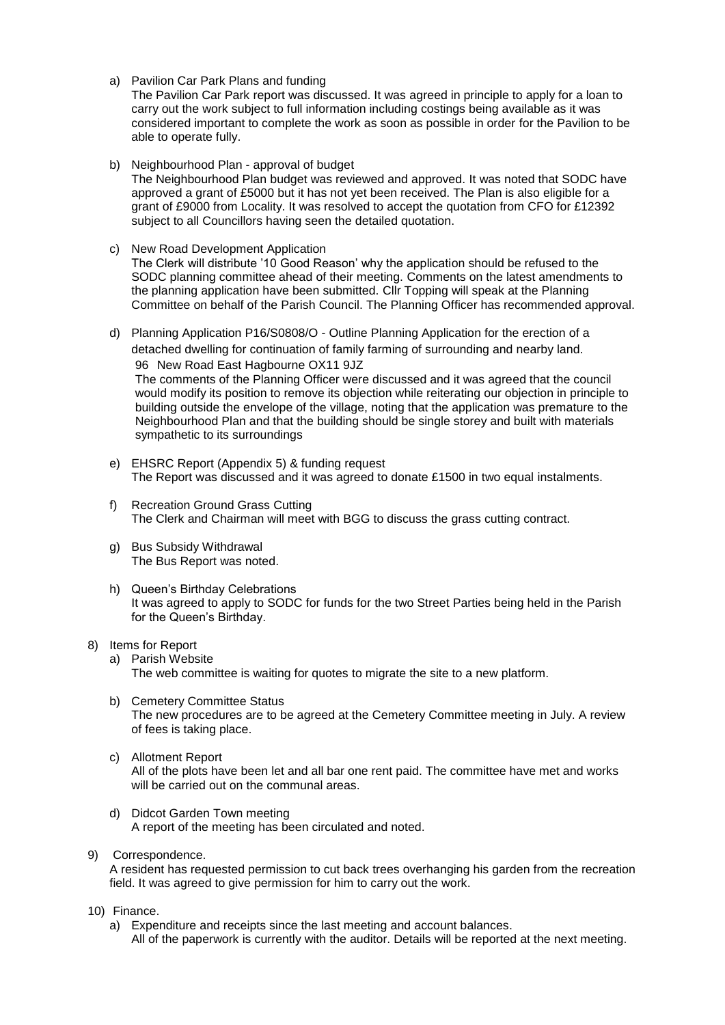a) Pavilion Car Park Plans and funding

The Pavilion Car Park report was discussed. It was agreed in principle to apply for a loan to carry out the work subject to full information including costings being available as it was considered important to complete the work as soon as possible in order for the Pavilion to be able to operate fully.

b) Neighbourhood Plan - approval of budget

The Neighbourhood Plan budget was reviewed and approved. It was noted that SODC have approved a grant of £5000 but it has not yet been received. The Plan is also eligible for a grant of £9000 from Locality. It was resolved to accept the quotation from CFO for £12392 subject to all Councillors having seen the detailed quotation.

c) New Road Development Application

The Clerk will distribute '10 Good Reason' why the application should be refused to the SODC planning committee ahead of their meeting. Comments on the latest amendments to the planning application have been submitted. Cllr Topping will speak at the Planning Committee on behalf of the Parish Council. The Planning Officer has recommended approval.

- d) Planning Application P16/S0808/O Outline Planning Application for the erection of a detached dwelling for continuation of family farming of surrounding and nearby land. 96 New Road East Hagbourne OX11 9JZ The comments of the Planning Officer were discussed and it was agreed that the council would modify its position to remove its objection while reiterating our objection in principle to building outside the envelope of the village, noting that the application was premature to the Neighbourhood Plan and that the building should be single storey and built with materials sympathetic to its surroundings
- e) EHSRC Report (Appendix 5) & funding request The Report was discussed and it was agreed to donate £1500 in two equal instalments.
- f) Recreation Ground Grass Cutting The Clerk and Chairman will meet with BGG to discuss the grass cutting contract.
- g) Bus Subsidy Withdrawal The Bus Report was noted.
- h) Queen's Birthday Celebrations It was agreed to apply to SODC for funds for the two Street Parties being held in the Parish for the Queen's Birthday.
- 8) Items for Report
	- a) Parish Website

The web committee is waiting for quotes to migrate the site to a new platform.

- b) Cemetery Committee Status The new procedures are to be agreed at the Cemetery Committee meeting in July. A review of fees is taking place.
- c) Allotment Report All of the plots have been let and all bar one rent paid. The committee have met and works will be carried out on the communal areas.
- d) Didcot Garden Town meeting A report of the meeting has been circulated and noted.
- 9) Correspondence.

A resident has requested permission to cut back trees overhanging his garden from the recreation field. It was agreed to give permission for him to carry out the work.

- 10) Finance.
	- a) Expenditure and receipts since the last meeting and account balances. All of the paperwork is currently with the auditor. Details will be reported at the next meeting.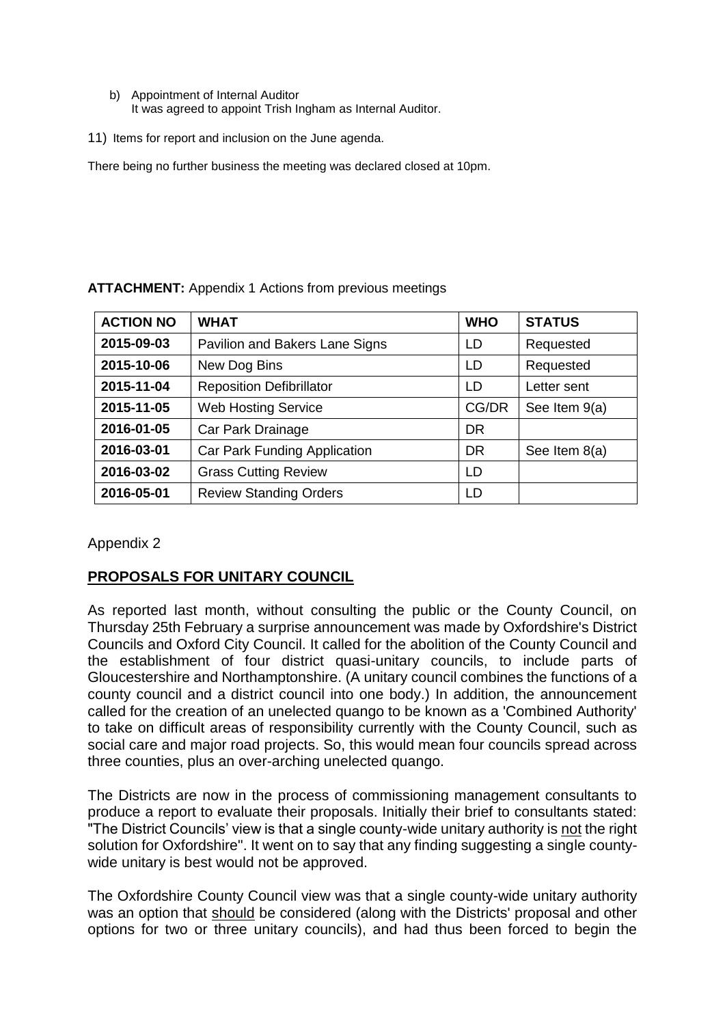- b) Appointment of Internal Auditor It was agreed to appoint Trish Ingham as Internal Auditor.
- 11) Items for report and inclusion on the June agenda.

There being no further business the meeting was declared closed at 10pm.

| <b>ACTION NO</b> | <b>WHAT</b>                     | <b>WHO</b> | <b>STATUS</b> |
|------------------|---------------------------------|------------|---------------|
| 2015-09-03       | Pavilion and Bakers Lane Signs  | LD         | Requested     |
| 2015-10-06       | New Dog Bins                    | LD         | Requested     |
| 2015-11-04       | <b>Reposition Defibrillator</b> | LD         | Letter sent   |
| 2015-11-05       | <b>Web Hosting Service</b>      | CG/DR      | See Item 9(a) |
| 2016-01-05       | Car Park Drainage               | <b>DR</b>  |               |
| 2016-03-01       | Car Park Funding Application    | <b>DR</b>  | See Item 8(a) |
| 2016-03-02       | <b>Grass Cutting Review</b>     | LD         |               |
| 2016-05-01       | <b>Review Standing Orders</b>   | LD         |               |

### **ATTACHMENT:** Appendix 1 Actions from previous meetings

Appendix 2

# **PROPOSALS FOR UNITARY COUNCIL**

As reported last month, without consulting the public or the County Council, on Thursday 25th February a surprise announcement was made by Oxfordshire's District Councils and Oxford City Council. It called for the abolition of the County Council and the establishment of four district quasi-unitary councils, to include parts of Gloucestershire and Northamptonshire. (A unitary council combines the functions of a county council and a district council into one body.) In addition, the announcement called for the creation of an unelected quango to be known as a 'Combined Authority' to take on difficult areas of responsibility currently with the County Council, such as social care and major road projects. So, this would mean four councils spread across three counties, plus an over-arching unelected quango.

The Districts are now in the process of commissioning management consultants to produce a report to evaluate their proposals. Initially their brief to consultants stated: "The District Councils' view is that a single county-wide unitary authority is not the right solution for Oxfordshire". It went on to say that any finding suggesting a single countywide unitary is best would not be approved.

The Oxfordshire County Council view was that a single county-wide unitary authority was an option that should be considered (along with the Districts' proposal and other options for two or three unitary councils), and had thus been forced to begin the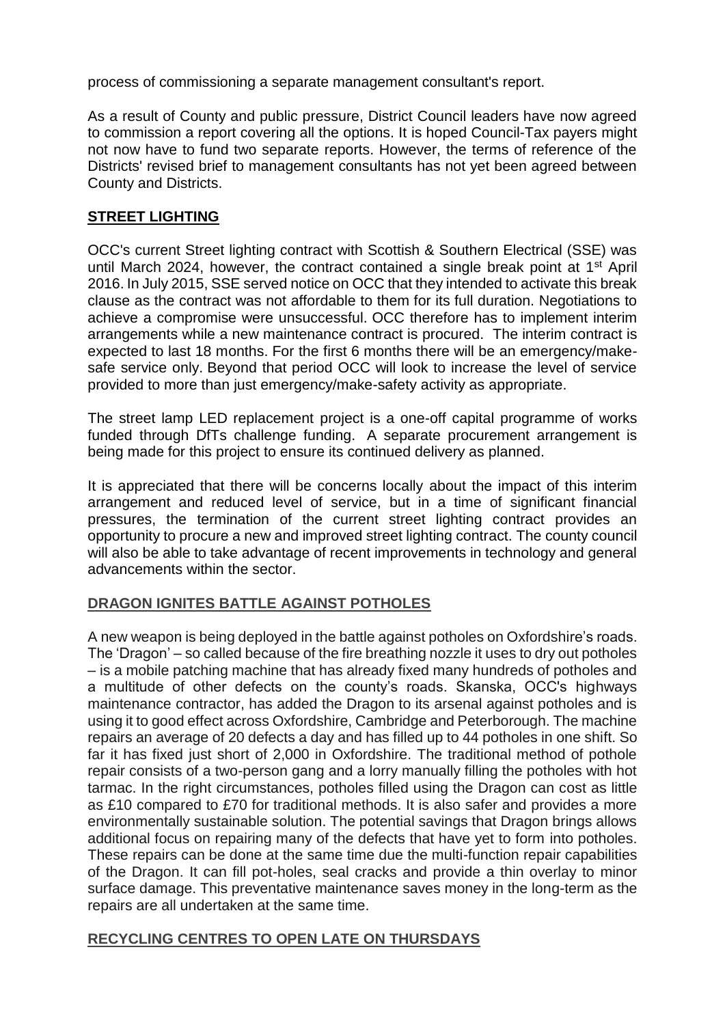process of commissioning a separate management consultant's report.

As a result of County and public pressure, District Council leaders have now agreed to commission a report covering all the options. It is hoped Council-Tax payers might not now have to fund two separate reports. However, the terms of reference of the Districts' revised brief to management consultants has not yet been agreed between County and Districts.

# **STREET LIGHTING**

OCC's current Street lighting contract with Scottish & Southern Electrical (SSE) was until March 2024, however, the contract contained a single break point at  $1<sup>st</sup>$  April 2016. In July 2015, SSE served notice on OCC that they intended to activate this break clause as the contract was not affordable to them for its full duration. Negotiations to achieve a compromise were unsuccessful. OCC therefore has to implement interim arrangements while a new maintenance contract is procured. The interim contract is expected to last 18 months. For the first 6 months there will be an emergency/makesafe service only. Beyond that period OCC will look to increase the level of service provided to more than just emergency/make-safety activity as appropriate.

The street lamp LED replacement project is a one-off capital programme of works funded through DfTs challenge funding. A separate procurement arrangement is being made for this project to ensure its continued delivery as planned.

It is appreciated that there will be concerns locally about the impact of this interim arrangement and reduced level of service, but in a time of significant financial pressures, the termination of the current street lighting contract provides an opportunity to procure a new and improved street lighting contract. The county council will also be able to take advantage of recent improvements in technology and general advancements within the sector.

# **DRAGON IGNITES BATTLE AGAINST POTHOLES**

A new weapon is being deployed in the battle against potholes on Oxfordshire's roads. The 'Dragon' – so called because of the fire breathing nozzle it uses to dry out potholes – is a mobile patching machine that has already fixed many hundreds of potholes and a multitude of other defects on the county's roads. Skanska, OCC's highways maintenance contractor, has added the Dragon to its arsenal against potholes and is using it to good effect across Oxfordshire, Cambridge and Peterborough. The machine repairs an average of 20 defects a day and has filled up to 44 potholes in one shift. So far it has fixed just short of 2,000 in Oxfordshire. The traditional method of pothole repair consists of a two-person gang and a lorry manually filling the potholes with hot tarmac. In the right circumstances, potholes filled using the Dragon can cost as little as £10 compared to £70 for traditional methods. It is also safer and provides a more environmentally sustainable solution. The potential savings that Dragon brings allows additional focus on repairing many of the defects that have yet to form into potholes. These repairs can be done at the same time due the multi-function repair capabilities of the Dragon. It can fill pot-holes, seal cracks and provide a thin overlay to minor surface damage. This preventative maintenance saves money in the long-term as the repairs are all undertaken at the same time.

## **RECYCLING CENTRES TO OPEN LATE ON THURSDAYS**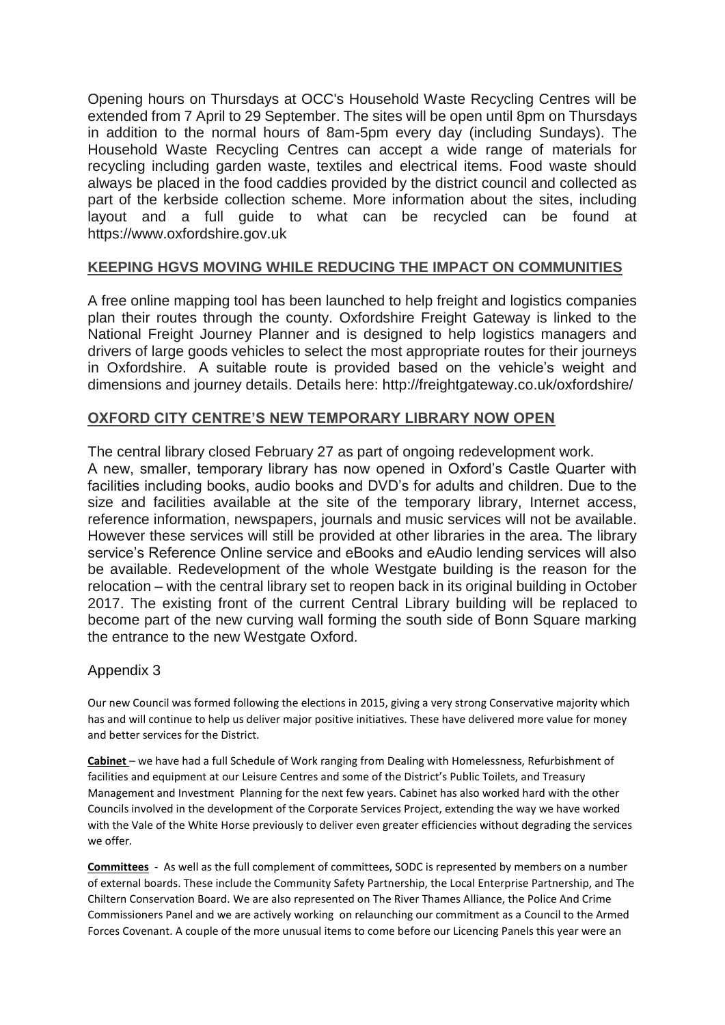Opening hours on Thursdays at OCC's Household Waste Recycling Centres will be extended from 7 April to 29 September. The sites will be open until 8pm on Thursdays in addition to the normal hours of 8am-5pm every day (including Sundays). The Household Waste Recycling Centres can accept a wide range of materials for recycling including garden waste, textiles and electrical items. Food waste should always be placed in the food caddies provided by the district council and collected as part of the kerbside collection scheme. More information about the sites, including layout and a full guide to what can be recycled can be found at https://www.oxfordshire.gov.uk

# **KEEPING HGVS MOVING WHILE REDUCING THE IMPACT ON COMMUNITIES**

A free online mapping tool has been launched to help freight and logistics companies plan their routes through the county. Oxfordshire Freight Gateway is linked to the National Freight Journey Planner and is designed to help logistics managers and drivers of large goods vehicles to select the most appropriate routes for their journeys in Oxfordshire. A suitable route is provided based on the vehicle's weight and dimensions and journey details. Details here: http://freightgateway.co.uk/oxfordshire/

### **OXFORD CITY CENTRE'S NEW TEMPORARY LIBRARY NOW OPEN**

The central library closed February 27 as part of ongoing redevelopment work. A new, smaller, temporary library has now opened in Oxford's Castle Quarter with facilities including books, audio books and DVD's for adults and children. Due to the size and facilities available at the site of the temporary library, Internet access, reference information, newspapers, journals and music services will not be available. However these services will still be provided at other libraries in the area. The library service's Reference Online service and eBooks and eAudio lending services will also be available. Redevelopment of the whole Westgate building is the reason for the relocation – with the central library set to reopen back in its original building in October 2017. The existing front of the current Central Library building will be replaced to become part of the new curving wall forming the south side of Bonn Square marking the entrance to the new Westgate Oxford.

## Appendix 3

Our new Council was formed following the elections in 2015, giving a very strong Conservative majority which has and will continue to help us deliver major positive initiatives. These have delivered more value for money and better services for the District.

**Cabinet** – we have had a full Schedule of Work ranging from Dealing with Homelessness, Refurbishment of facilities and equipment at our Leisure Centres and some of the District's Public Toilets, and Treasury Management and Investment Planning for the next few years. Cabinet has also worked hard with the other Councils involved in the development of the Corporate Services Project, extending the way we have worked with the Vale of the White Horse previously to deliver even greater efficiencies without degrading the services we offer.

**Committees** - As well as the full complement of committees, SODC is represented by members on a number of external boards. These include the Community Safety Partnership, the Local Enterprise Partnership, and The Chiltern Conservation Board. We are also represented on The River Thames Alliance, the Police And Crime Commissioners Panel and we are actively working on relaunching our commitment as a Council to the Armed Forces Covenant. A couple of the more unusual items to come before our Licencing Panels this year were an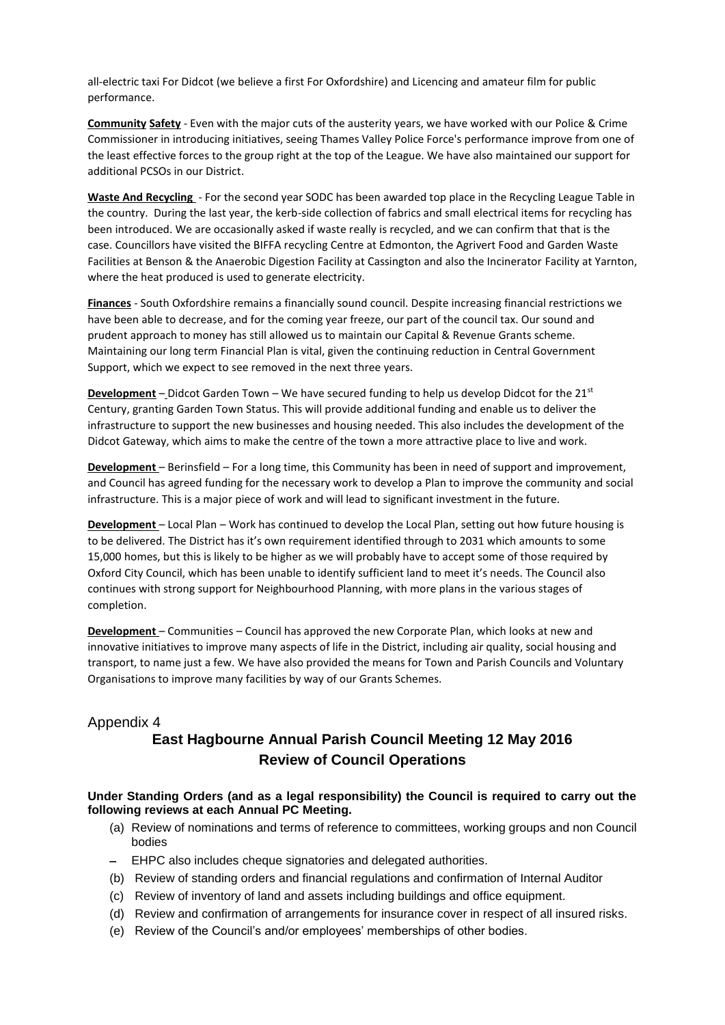all-electric taxi For Didcot (we believe a first For Oxfordshire) and Licencing and amateur film for public performance.

**Community Safety** - Even with the major cuts of the austerity years, we have worked with our Police & Crime Commissioner in introducing initiatives, seeing Thames Valley Police Force's performance improve from one of the least effective forces to the group right at the top of the League. We have also maintained our support for additional PCSOs in our District.

**Waste And Recycling** - For the second year SODC has been awarded top place in the Recycling League Table in the country. During the last year, the kerb-side collection of fabrics and small electrical items for recycling has been introduced. We are occasionally asked if waste really is recycled, and we can confirm that that is the case. Councillors have visited the BIFFA recycling Centre at Edmonton, the Agrivert Food and Garden Waste Facilities at Benson & the Anaerobic Digestion Facility at Cassington and also the Incinerator Facility at Yarnton, where the heat produced is used to generate electricity.

**Finances** - South Oxfordshire remains a financially sound council. Despite increasing financial restrictions we have been able to decrease, and for the coming year freeze, our part of the council tax. Our sound and prudent approach to money has still allowed us to maintain our Capital & Revenue Grants scheme. Maintaining our long term Financial Plan is vital, given the continuing reduction in Central Government Support, which we expect to see removed in the next three years.

**Development** – Didcot Garden Town – We have secured funding to help us develop Didcot for the 21st Century, granting Garden Town Status. This will provide additional funding and enable us to deliver the infrastructure to support the new businesses and housing needed. This also includes the development of the Didcot Gateway, which aims to make the centre of the town a more attractive place to live and work.

**Development** – Berinsfield – For a long time, this Community has been in need of support and improvement, and Council has agreed funding for the necessary work to develop a Plan to improve the community and social infrastructure. This is a major piece of work and will lead to significant investment in the future.

**Development** – Local Plan – Work has continued to develop the Local Plan, setting out how future housing is to be delivered. The District has it's own requirement identified through to 2031 which amounts to some 15,000 homes, but this is likely to be higher as we will probably have to accept some of those required by Oxford City Council, which has been unable to identify sufficient land to meet it's needs. The Council also continues with strong support for Neighbourhood Planning, with more plans in the various stages of completion.

**Development** – Communities – Council has approved the new Corporate Plan, which looks at new and innovative initiatives to improve many aspects of life in the District, including air quality, social housing and transport, to name just a few. We have also provided the means for Town and Parish Councils and Voluntary Organisations to improve many facilities by way of our Grants Schemes.

## Appendix 4 **East Hagbourne Annual Parish Council Meeting 12 May 2016 Review of Council Operations**

#### **Under Standing Orders (and as a legal responsibility) the Council is required to carry out the following reviews at each Annual PC Meeting.**

- (a) Review of nominations and terms of reference to committees, working groups and non Council bodies
- EHPC also includes cheque signatories and delegated authorities.
- (b) Review of standing orders and financial regulations and confirmation of Internal Auditor
- (c) Review of inventory of land and assets including buildings and office equipment.
- (d) Review and confirmation of arrangements for insurance cover in respect of all insured risks.
- (e) Review of the Council's and/or employees' memberships of other bodies.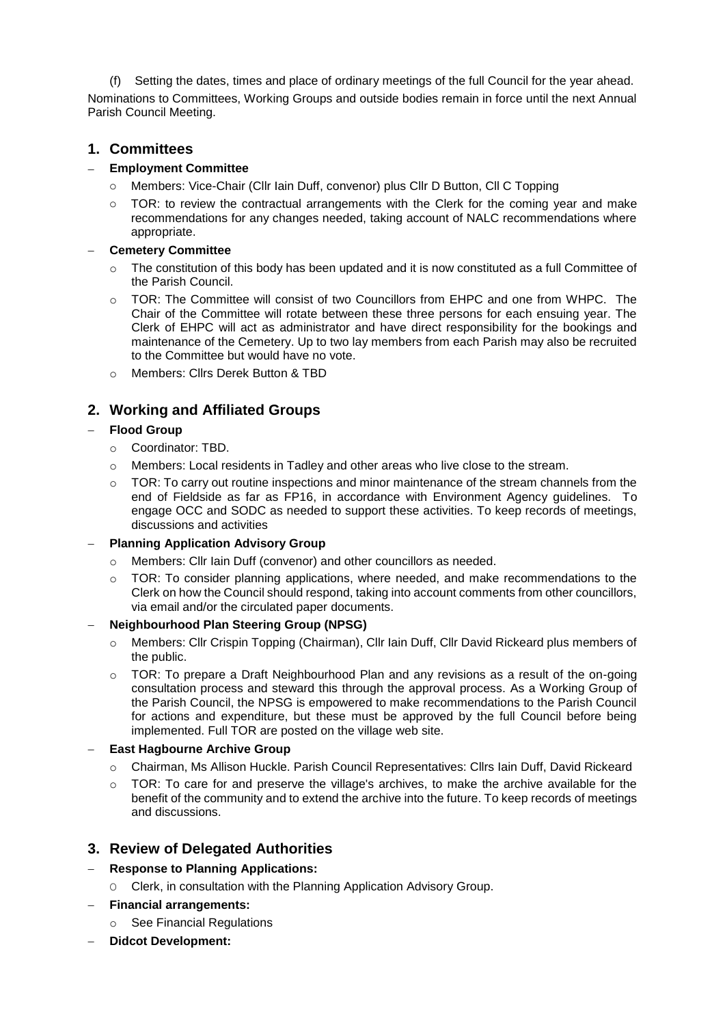(f) Setting the dates, times and place of ordinary meetings of the full Council for the year ahead.

Nominations to Committees, Working Groups and outside bodies remain in force until the next Annual Parish Council Meeting.

## **1. Committees**

#### **Employment Committee**

- o Members: Vice-Chair (Cllr Iain Duff, convenor) plus Cllr D Button, Cll C Topping
- $\circ$  TOR: to review the contractual arrangements with the Clerk for the coming year and make recommendations for any changes needed, taking account of NALC recommendations where appropriate.

#### **Cemetery Committee**

- $\circ$  The constitution of this body has been updated and it is now constituted as a full Committee of the Parish Council.
- o TOR: The Committee will consist of two Councillors from EHPC and one from WHPC. The Chair of the Committee will rotate between these three persons for each ensuing year. The Clerk of EHPC will act as administrator and have direct responsibility for the bookings and maintenance of the Cemetery. Up to two lay members from each Parish may also be recruited to the Committee but would have no vote.
- o Members: Cllrs Derek Button & TBD

# **2. Working and Affiliated Groups**

#### **Flood Group**

- o Coordinator: TBD.
- o Members: Local residents in Tadley and other areas who live close to the stream.
- $\circ$  TOR: To carry out routine inspections and minor maintenance of the stream channels from the end of Fieldside as far as FP16, in accordance with Environment Agency guidelines. To engage OCC and SODC as needed to support these activities. To keep records of meetings, discussions and activities

### **Planning Application Advisory Group**

- o Members: Cllr Iain Duff (convenor) and other councillors as needed.
- o TOR: To consider planning applications, where needed, and make recommendations to the Clerk on how the Council should respond, taking into account comments from other councillors, via email and/or the circulated paper documents.

#### **Neighbourhood Plan Steering Group (NPSG)**

- o Members: Cllr Crispin Topping (Chairman), Cllr Iain Duff, Cllr David Rickeard plus members of the public.
- $\circ$  TOR: To prepare a Draft Neighbourhood Plan and any revisions as a result of the on-going consultation process and steward this through the approval process. As a Working Group of the Parish Council, the NPSG is empowered to make recommendations to the Parish Council for actions and expenditure, but these must be approved by the full Council before being implemented. Full TOR are posted on the village web site.

#### **East Hagbourne Archive Group**

- o Chairman, Ms Allison Huckle. Parish Council Representatives: Cllrs Iain Duff, David Rickeard
- $\circ$  TOR: To care for and preserve the village's archives, to make the archive available for the benefit of the community and to extend the archive into the future. To keep records of meetings and discussions.

## **3. Review of Delegated Authorities**

#### **Response to Planning Applications:**

- O Clerk, in consultation with the Planning Application Advisory Group.
- **Financial arrangements:**
	- o See Financial Regulations
- **Didcot Development:**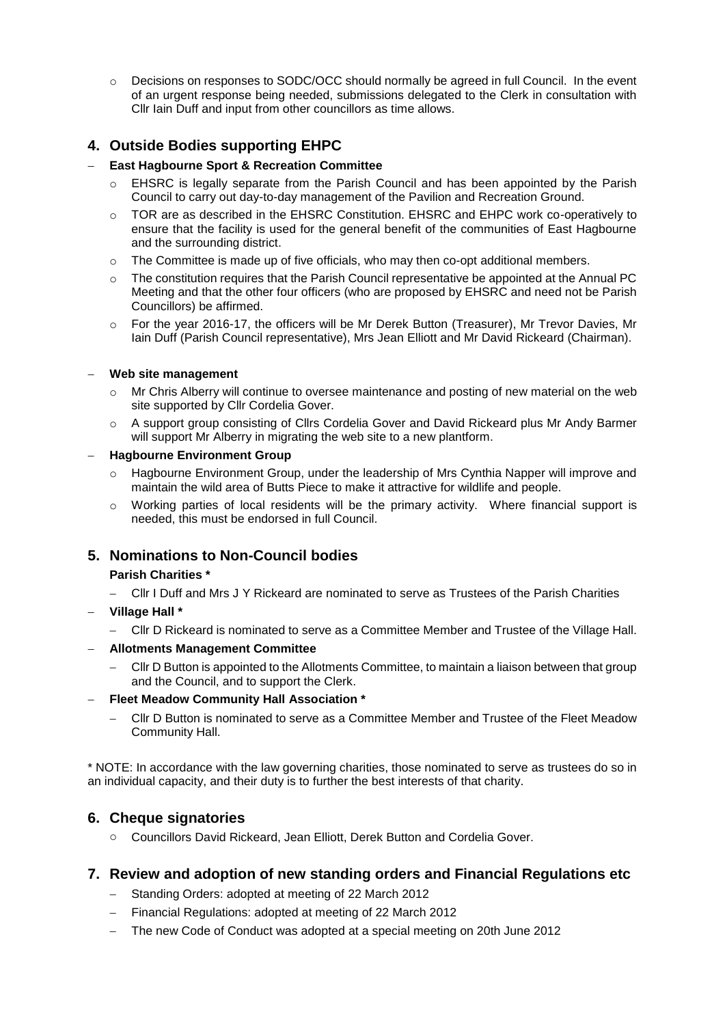$\circ$  Decisions on responses to SODC/OCC should normally be agreed in full Council. In the event of an urgent response being needed, submissions delegated to the Clerk in consultation with Cllr Iain Duff and input from other councillors as time allows.

# **4. Outside Bodies supporting EHPC**

#### **East Hagbourne Sport & Recreation Committee**

- o EHSRC is legally separate from the Parish Council and has been appointed by the Parish Council to carry out day-to-day management of the Pavilion and Recreation Ground.
- o TOR are as described in the EHSRC Constitution. EHSRC and EHPC work co-operatively to ensure that the facility is used for the general benefit of the communities of East Hagbourne and the surrounding district.
- o The Committee is made up of five officials, who may then co-opt additional members.
- o The constitution requires that the Parish Council representative be appointed at the Annual PC Meeting and that the other four officers (who are proposed by EHSRC and need not be Parish Councillors) be affirmed.
- o For the year 2016-17, the officers will be Mr Derek Button (Treasurer), Mr Trevor Davies, Mr Iain Duff (Parish Council representative), Mrs Jean Elliott and Mr David Rickeard (Chairman).

#### **Web site management**

- o Mr Chris Alberry will continue to oversee maintenance and posting of new material on the web site supported by Cllr Cordelia Gover.
- o A support group consisting of Cllrs Cordelia Gover and David Rickeard plus Mr Andy Barmer will support Mr Alberry in migrating the web site to a new plantform.

#### **Hagbourne Environment Group**

- o Hagbourne Environment Group, under the leadership of Mrs Cynthia Napper will improve and maintain the wild area of Butts Piece to make it attractive for wildlife and people.
- $\circ$  Working parties of local residents will be the primary activity. Where financial support is needed, this must be endorsed in full Council.

## **5. Nominations to Non-Council bodies**

#### **Parish Charities \***

- Cllr I Duff and Mrs J Y Rickeard are nominated to serve as Trustees of the Parish Charities
- **Village Hall \***
	- Cllr D Rickeard is nominated to serve as a Committee Member and Trustee of the Village Hall.
- **Allotments Management Committee**
	- Cllr D Button is appointed to the Allotments Committee, to maintain a liaison between that group and the Council, and to support the Clerk.

#### **Fleet Meadow Community Hall Association \***

 Cllr D Button is nominated to serve as a Committee Member and Trustee of the Fleet Meadow Community Hall.

\* NOTE: In accordance with the law governing charities, those nominated to serve as trustees do so in an individual capacity, and their duty is to further the best interests of that charity.

### **6. Cheque signatories**

o Councillors David Rickeard, Jean Elliott, Derek Button and Cordelia Gover.

### **7. Review and adoption of new standing orders and Financial Regulations etc**

- Standing Orders: adopted at meeting of 22 March 2012
- Financial Regulations: adopted at meeting of 22 March 2012
- The new Code of Conduct was adopted at a special meeting on 20th June 2012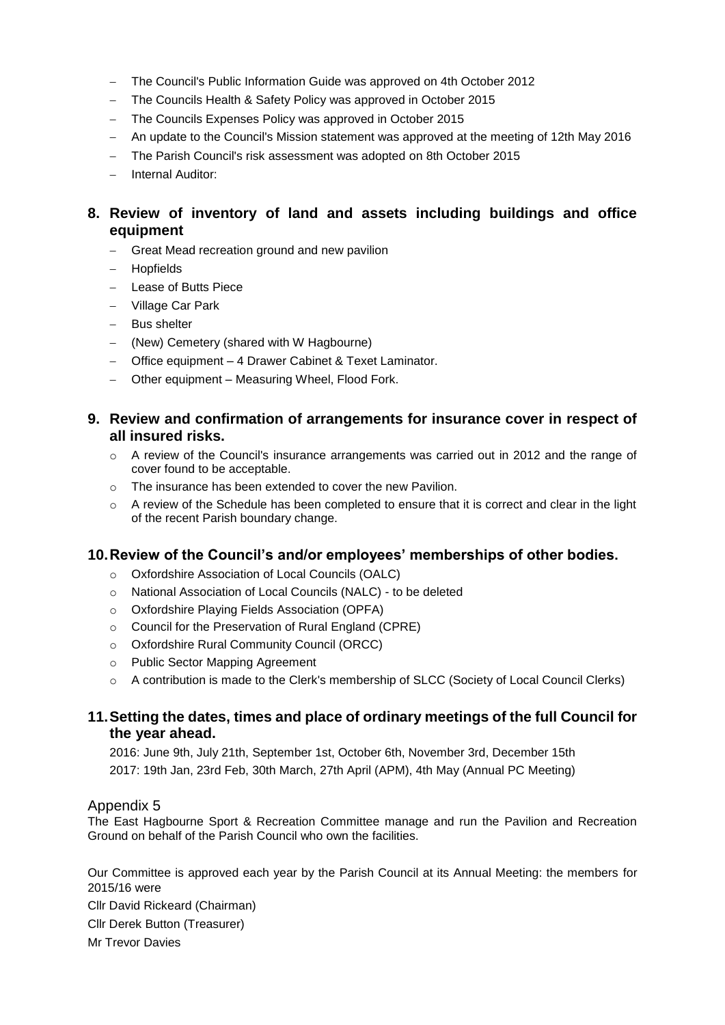- The Council's Public Information Guide was approved on 4th October 2012
- The Councils Health & Safety Policy was approved in October 2015
- The Councils Expenses Policy was approved in October 2015
- An update to the Council's Mission statement was approved at the meeting of 12th May 2016
- The Parish Council's risk assessment was adopted on 8th October 2015
- Internal Auditor:

## **8. Review of inventory of land and assets including buildings and office equipment**

- Great Mead recreation ground and new pavilion
- Hopfields
- Lease of Butts Piece
- Village Car Park
- Bus shelter
- (New) Cemetery (shared with W Hagbourne)
- Office equipment 4 Drawer Cabinet & Texet Laminator.
- Other equipment Measuring Wheel, Flood Fork.

## **9. Review and confirmation of arrangements for insurance cover in respect of all insured risks.**

- $\circ$  A review of the Council's insurance arrangements was carried out in 2012 and the range of cover found to be acceptable.
- o The insurance has been extended to cover the new Pavilion.
- o A review of the Schedule has been completed to ensure that it is correct and clear in the light of the recent Parish boundary change.

### **10.Review of the Council's and/or employees' memberships of other bodies.**

- o Oxfordshire Association of Local Councils (OALC)
- o National Association of Local Councils (NALC) to be deleted
- o Oxfordshire Playing Fields Association (OPFA)
- o Council for the Preservation of Rural England (CPRE)
- o Oxfordshire Rural Community Council (ORCC)
- o Public Sector Mapping Agreement
- o A contribution is made to the Clerk's membership of SLCC (Society of Local Council Clerks)

### **11.Setting the dates, times and place of ordinary meetings of the full Council for the year ahead.**

2016: June 9th, July 21th, September 1st, October 6th, November 3rd, December 15th 2017: 19th Jan, 23rd Feb, 30th March, 27th April (APM), 4th May (Annual PC Meeting)

### Appendix 5

The East Hagbourne Sport & Recreation Committee manage and run the Pavilion and Recreation Ground on behalf of the Parish Council who own the facilities.

Our Committee is approved each year by the Parish Council at its Annual Meeting: the members for 2015/16 were

Cllr David Rickeard (Chairman) Cllr Derek Button (Treasurer) Mr Trevor Davies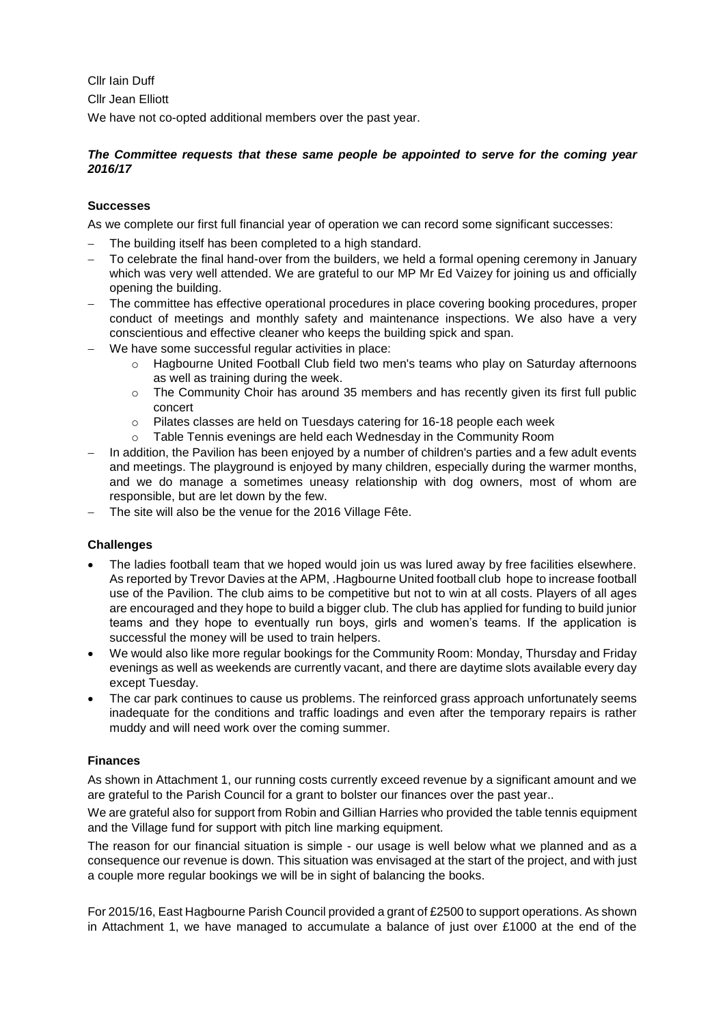Cllr Iain Duff Cllr Jean Elliott

We have not co-opted additional members over the past year.

#### *The Committee requests that these same people be appointed to serve for the coming year 2016/17*

#### **Successes**

As we complete our first full financial year of operation we can record some significant successes:

- The building itself has been completed to a high standard.
- To celebrate the final hand-over from the builders, we held a formal opening ceremony in January which was very well attended. We are grateful to our MP Mr Ed Vaizey for joining us and officially opening the building.
- The committee has effective operational procedures in place covering booking procedures, proper conduct of meetings and monthly safety and maintenance inspections. We also have a very conscientious and effective cleaner who keeps the building spick and span.
- We have some successful regular activities in place:
	- o Hagbourne United Football Club field two men's teams who play on Saturday afternoons as well as training during the week.
	- o The Community Choir has around 35 members and has recently given its first full public concert
	- o Pilates classes are held on Tuesdays catering for 16-18 people each week
	- Table Tennis evenings are held each Wednesday in the Community Room
- In addition, the Pavilion has been enjoyed by a number of children's parties and a few adult events and meetings. The playground is enjoyed by many children, especially during the warmer months, and we do manage a sometimes uneasy relationship with dog owners, most of whom are responsible, but are let down by the few.
- The site will also be the venue for the 2016 Village Fête.

### **Challenges**

- The ladies football team that we hoped would join us was lured away by free facilities elsewhere. As reported by Trevor Davies at the APM, .Hagbourne United football club hope to increase football use of the Pavilion. The club aims to be competitive but not to win at all costs. Players of all ages are encouraged and they hope to build a bigger club. The club has applied for funding to build junior teams and they hope to eventually run boys, girls and women's teams. If the application is successful the money will be used to train helpers.
- We would also like more regular bookings for the Community Room: Monday, Thursday and Friday evenings as well as weekends are currently vacant, and there are daytime slots available every day except Tuesday.
- The car park continues to cause us problems. The reinforced grass approach unfortunately seems inadequate for the conditions and traffic loadings and even after the temporary repairs is rather muddy and will need work over the coming summer.

#### **Finances**

As shown in Attachment 1, our running costs currently exceed revenue by a significant amount and we are grateful to the Parish Council for a grant to bolster our finances over the past year..

We are grateful also for support from Robin and Gillian Harries who provided the table tennis equipment and the Village fund for support with pitch line marking equipment.

The reason for our financial situation is simple - our usage is well below what we planned and as a consequence our revenue is down. This situation was envisaged at the start of the project, and with just a couple more regular bookings we will be in sight of balancing the books.

For 2015/16, East Hagbourne Parish Council provided a grant of £2500 to support operations. As shown in Attachment 1, we have managed to accumulate a balance of just over £1000 at the end of the